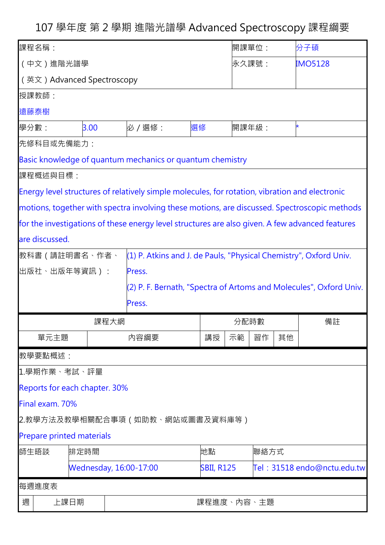107 學年度 第 2 學期 進階光譜學 Advanced Spectroscopy 課程綱要

| 課程名稱:                                                                                           |                                  |                               |                                                                                                |                   |      | 開課單位: |    | 分子碩                         |
|-------------------------------------------------------------------------------------------------|----------------------------------|-------------------------------|------------------------------------------------------------------------------------------------|-------------------|------|-------|----|-----------------------------|
| (中文)進階光譜學                                                                                       |                                  |                               |                                                                                                |                   |      | 永久課號: |    | <b>IMO5128</b>              |
| (英文) Advanced Spectroscopy                                                                      |                                  |                               |                                                                                                |                   |      |       |    |                             |
| 授課教師:                                                                                           |                                  |                               |                                                                                                |                   |      |       |    |                             |
| 遠藤泰樹                                                                                            |                                  |                               |                                                                                                |                   |      |       |    |                             |
| 學分數:                                                                                            |                                  | 3.00                          | 必 / 選修:                                                                                        | 選修                |      | 開課年級: |    |                             |
|                                                                                                 | 先修科目或先備能力:                       |                               |                                                                                                |                   |      |       |    |                             |
|                                                                                                 |                                  |                               | Basic knowledge of quantum mechanics or quantum chemistry                                      |                   |      |       |    |                             |
|                                                                                                 | 課程概述與目標:                         |                               |                                                                                                |                   |      |       |    |                             |
|                                                                                                 |                                  |                               | Energy level structures of relatively simple molecules, for rotation, vibration and electronic |                   |      |       |    |                             |
|                                                                                                 |                                  |                               | motions, together with spectra involving these motions, are discussed. Spectroscopic methods   |                   |      |       |    |                             |
| for the investigations of these energy level structures are also given. A few advanced features |                                  |                               |                                                                                                |                   |      |       |    |                             |
| are discussed.                                                                                  |                                  |                               |                                                                                                |                   |      |       |    |                             |
| 教科書 (請註明書名、作者、<br>(1) P. Atkins and J. de Pauls, "Physical Chemistry", Oxford Univ.             |                                  |                               |                                                                                                |                   |      |       |    |                             |
|                                                                                                 | 出版社、出版年等資訊):<br>Press.           |                               |                                                                                                |                   |      |       |    |                             |
|                                                                                                 |                                  |                               | (2) P. F. Bernath, "Spectra of Artoms and Molecules", Oxford Univ.                             |                   |      |       |    |                             |
|                                                                                                 |                                  |                               | Press.                                                                                         |                   |      |       |    |                             |
| 課程大網                                                                                            |                                  |                               |                                                                                                |                   | 分配時數 |       |    |                             |
|                                                                                                 |                                  |                               |                                                                                                |                   |      |       |    | 備註                          |
|                                                                                                 | 單元主題                             |                               | 内容綱要                                                                                           | 講授                | 示範   | 習作    | 其他 |                             |
|                                                                                                 | 教學要點概述:                          |                               |                                                                                                |                   |      |       |    |                             |
|                                                                                                 | 1.學期作業、考試、評量                     |                               |                                                                                                |                   |      |       |    |                             |
|                                                                                                 |                                  | Reports for each chapter. 30% |                                                                                                |                   |      |       |    |                             |
|                                                                                                 | Final exam. 70%                  |                               |                                                                                                |                   |      |       |    |                             |
|                                                                                                 |                                  |                               | 2.教學方法及教學相關配合事項(如助教、網站或圖書及資料庫等)                                                                |                   |      |       |    |                             |
|                                                                                                 | <b>Prepare printed materials</b> |                               |                                                                                                |                   |      |       |    |                             |
| 師生晤談                                                                                            |                                  | 排定時間                          |                                                                                                | 地點                |      | 聯絡方式  |    |                             |
|                                                                                                 |                                  | <b>Wednesday, 16:00-17:00</b> |                                                                                                | <b>SBII, R125</b> |      |       |    | Tel: 31518 endo@nctu.edu.tw |
| 每週進度表                                                                                           |                                  |                               |                                                                                                |                   |      |       |    |                             |